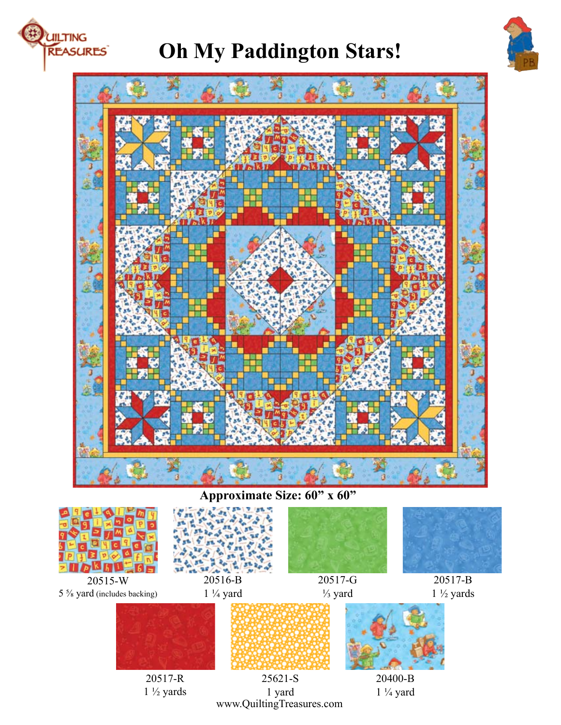

# **Oh My Paddington Stars!**





## **A**<br>**Approximate** Size: **60"** x **60"**



1 yard www.QuiltingTreasures.com  $1\frac{1}{4}$  yard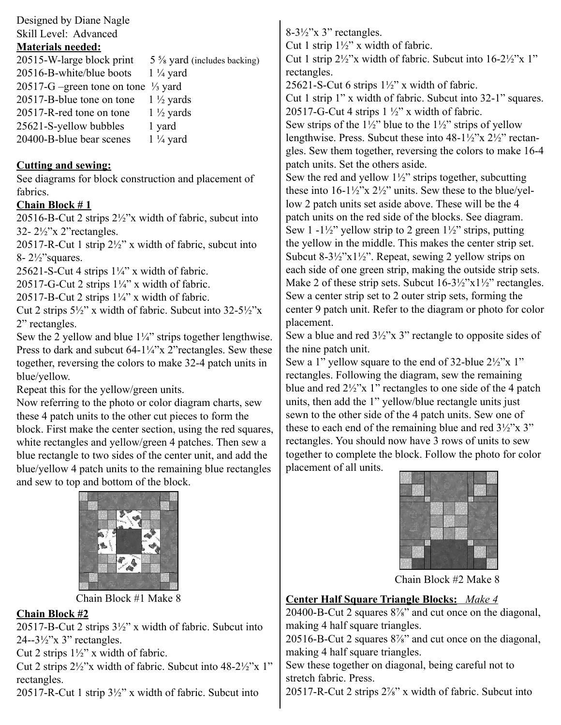Designed by Diane Nagle Skill Level: Advanced

#### **Materials needed:**

| 20515-W-large block print                      | $5\frac{5}{8}$ yard (includes backing) |
|------------------------------------------------|----------------------------------------|
| 20516-B-white/blue boots                       | $1\frac{1}{4}$ yard                    |
| 20517-G –green tone on tone $\frac{1}{3}$ yard |                                        |
| 20517-B-blue tone on tone                      | $1\frac{1}{2}$ yards                   |
| 20517-R-red tone on tone                       | $1\frac{1}{2}$ yards                   |
| 25621-S-yellow bubbles                         | 1 yard                                 |
| 20400-B-blue bear scenes                       | $1\frac{1}{4}$ yard                    |
|                                                |                                        |

#### **Cutting and sewing:**

See diagrams for block construction and placement of fabrics.

#### **Chain Block # 1**

20516-B-Cut 2 strips 2½"x width of fabric, subcut into 32- 2½"x 2"rectangles.

20517-R-Cut 1 strip  $2\frac{1}{2}$ " x width of fabric, subcut into 8- 2½"squares.

25621-S-Cut 4 strips  $1\frac{1}{4}$ " x width of fabric.

20517-G-Cut 2 strips  $1\frac{1}{4}$ " x width of fabric.

20517-B-Cut 2 strips  $1\frac{1}{4}$ " x width of fabric.

Cut 2 strips  $5\frac{1}{2}$ " x width of fabric. Subcut into  $32-5\frac{1}{2}$ "x 2" rectangles.

Sew the 2 yellow and blue  $1\frac{1}{4}$ " strips together lengthwise. Press to dark and subcut 64-1¼"x 2" rectangles. Sew these together, reversing the colors to make 32-4 patch units in blue/yellow.

Repeat this for the yellow/green units.

Now referring to the photo or color diagram charts, sew these 4 patch units to the other cut pieces to form the block. First make the center section, using the red squares, white rectangles and yellow/green 4 patches. Then sew a blue rectangle to two sides of the center unit, and add the blue/yellow 4 patch units to the remaining blue rectangles and sew to top and bottom of the block.



Chain Block #1 Make 8

### **Chain Block #2**

20517-B-Cut 2 strips  $3\frac{1}{2}$ " x width of fabric. Subcut into  $24 - 3\frac{1}{2}$ "x 3" rectangles.

Cut 2 strips 1½" x width of fabric.

Cut 2 strips  $2\frac{1}{2}$ "x width of fabric. Subcut into 48-2 $\frac{1}{2}$ "x 1" rectangles.

20517-R-Cut 1 strip 3½" x width of fabric. Subcut into

8-3½"x 3" rectangles. Cut 1 strip  $1\frac{1}{2}$ " x width of fabric. Cut 1 strip 2½"x width of fabric. Subcut into 16-2½"x 1" rectangles. 25621-S-Cut 6 strips  $1\frac{1}{2}$ " x width of fabric. Cut 1 strip 1" x width of fabric. Subcut into 32-1" squares. 20517-G-Cut 4 strips  $1\frac{1}{2}$ " x width of fabric. Sew strips of the  $1\frac{1}{2}$ " blue to the  $1\frac{1}{2}$ " strips of yellow lengthwise. Press. Subcut these into 48-1½"x 2½" rectangles. Sew them together, reversing the colors to make 16-4 patch units. Set the others aside. Sew the red and yellow  $1\frac{1}{2}$ " strips together, subcutting these into  $16-1\frac{1}{2}x$   $2\frac{1}{2}y$  units. Sew these to the blue/yellow 2 patch units set aside above. These will be the 4 patch units on the red side of the blocks. See diagram. Sew 1 -1 $\frac{1}{2}$ " yellow strip to 2 green  $1\frac{1}{2}$ " strips, putting the yellow in the middle. This makes the center strip set. Subcut 8-3½"x1½". Repeat, sewing 2 yellow strips on

each side of one green strip, making the outside strip sets. Make 2 of these strip sets. Subcut  $16-3\frac{1}{2}$ "x $1\frac{1}{2}$ " rectangles. Sew a center strip set to 2 outer strip sets, forming the center 9 patch unit. Refer to the diagram or photo for color placement.

Sew a blue and red 3½"x 3" rectangle to opposite sides of the nine patch unit.

Sew a 1" yellow square to the end of 32-blue 2½"x 1" rectangles. Following the diagram, sew the remaining blue and red 2½"x 1" rectangles to one side of the 4 patch units, then add the 1" yellow/blue rectangle units just sewn to the other side of the 4 patch units. Sew one of these to each end of the remaining blue and red  $3\frac{1}{2}$ "x 3" rectangles. You should now have 3 rows of units to sew together to complete the block. Follow the photo for color placement of all units.



Chain Block #2 Make 8

## **Center Half Square Triangle Blocks:** *Make 4*

20400-B-Cut 2 squares 8⅞" and cut once on the diagonal, making 4 half square triangles.

20516-B-Cut 2 squares 8⅞" and cut once on the diagonal, making 4 half square triangles.

Sew these together on diagonal, being careful not to stretch fabric. Press.

20517-R-Cut 2 strips 2⅞" x width of fabric. Subcut into